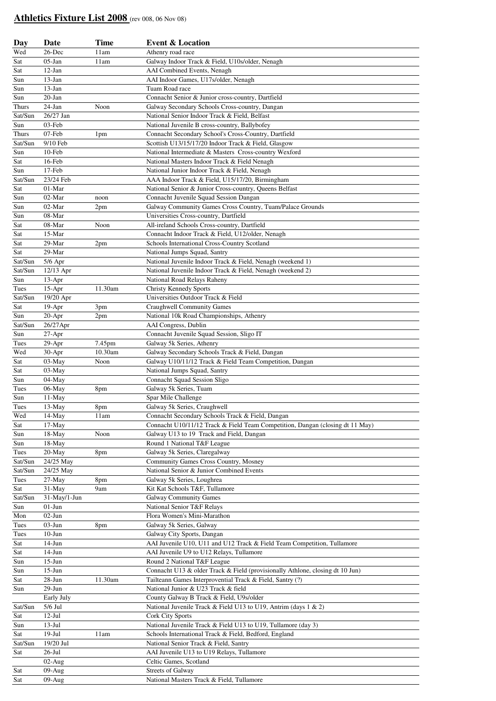## **Athletics Fixture List 2008** (rev 008, 06 Nov 08)

| Day          | Date         | <b>Time</b> | <b>Event &amp; Location</b>                                                   |
|--------------|--------------|-------------|-------------------------------------------------------------------------------|
| Wed          | 26-Dec       | 11am        | Athenry road race                                                             |
| Sat          | $05$ -Jan    | 11am        | Galway Indoor Track & Field, U10s/older, Nenagh                               |
| Sat          | $12$ -Jan    |             | AAI Combined Events, Nenagh                                                   |
| Sun          | $13$ -Jan    |             | AAI Indoor Games, U17s/older, Nenagh                                          |
| Sun          | $13$ -Jan    |             | Tuam Road race                                                                |
| Sun          | $20$ -Jan    |             | Connacht Senior & Junior cross-country, Dartfield                             |
| <b>Thurs</b> | 24-Jan       | Noon        | Galway Secondary Schools Cross-country, Dangan                                |
| Sat/Sun      | 26/27 Jan    |             | National Senior Indoor Track & Field, Belfast                                 |
| Sun          | 03-Feb       |             | National Juvenile B cross-country, Ballybofey                                 |
| Thurs        | 07-Feb       | 1pm         | Connacht Secondary School's Cross-Country, Dartfield                          |
| Sat/Sun      | 9/10 Feb     |             | Scottish U13/15/17/20 Indoor Track & Field, Glasgow                           |
| Sun          | 10-Feb       |             | National Intermediate & Masters Cross-country Wexford                         |
| Sat          | 16-Feb       |             | National Masters Indoor Track & Field Nenagh                                  |
| Sun          | 17-Feb       |             | National Junior Indoor Track & Field, Nenagh                                  |
| Sat/Sun      | 23/24 Feb    |             | AAA Indoor Track & Field, U15/17/20, Birmingham                               |
| Sat          | 01-Mar       |             | National Senior & Junior Cross-country, Queens Belfast                        |
| Sun          | 02-Mar       | noon        | Connacht Juvenile Squad Session Dangan                                        |
| Sun          | 02-Mar       | 2pm         | Galway Community Games Cross Country, Tuam/Palace Grounds                     |
| Sun          | 08-Mar       |             | Universities Cross-country, Dartfield                                         |
| Sat          | 08-Mar       | Noon        | All-ireland Schools Cross-country, Dartfield                                  |
| Sat          | 15-Mar       |             | Connacht Indoor Track & Field, U12/older, Nenagh                              |
| Sat          | 29-Mar       | 2pm         | Schools International Cross-Country Scotland                                  |
| Sat          | 29-Mar       |             | National Jumps Squad, Santry                                                  |
| Sat/Sun      | $5/6$ Apr    |             | National Juvenile Indoor Track & Field, Nenagh (weekend 1)                    |
| Sat/Sun      | 12/13 Apr    |             | National Juvenile Indoor Track & Field, Nenagh (weekend 2)                    |
| Sun          | $13-Apr$     |             | National Road Relays Raheny                                                   |
| Tues         | $15-Apr$     | 11.30am     | Christy Kennedy Sports                                                        |
| Sat/Sun      | 19/20 Apr    |             | Universities Outdoor Track & Field                                            |
| Sat          | $19-Apr$     | 3pm         | <b>Craughwell Community Games</b>                                             |
| Sun          | $20-Apr$     | 2pm         | National 10k Road Championships, Athenry                                      |
| Sat/Sun      | 26/27Apr     |             | AAI Congress, Dublin                                                          |
| Sun          | 27-Apr       |             | Connacht Juvenile Squad Session, Sligo IT                                     |
| Tues         | 29-Apr       | 7.45pm      | Galway 5k Series, Athenry                                                     |
| Wed          | 30-Apr       | 10.30am     | Galway Secondary Schools Track & Field, Dangan                                |
| Sat          | 03-May       | Noon        | Galway U10/11/12 Track & Field Team Competition, Dangan                       |
| Sat          | 03-May       |             | National Jumps Squad, Santry                                                  |
| Sun          | 04-May       |             | Connacht Squad Session Sligo                                                  |
| Tues         | 06-May       | 8pm         | Galway 5k Series, Tuam                                                        |
| Sun          | 11-May       |             | Spar Mile Challenge                                                           |
| Tues         | 13-May       | 8pm         | Galway 5k Series, Craughwell                                                  |
| Wed          | 14-May       | 11am        | Connacht Secondary Schools Track & Field, Dangan                              |
| Sat          | $17-May$     |             | Connacht U10/11/12 Track & Field Team Competition, Dangan (closing dt 11 May) |
| Sun          | 18-May       | Noon        | Galway U13 to 19 Track and Field, Dangan                                      |
| Sun          | 18-May       |             | Round 1 National T&F League                                                   |
| Tues         | 20-May       | 8pm         | Galway 5k Series, Claregalway                                                 |
| Sat/Sun      | 24/25 May    |             | <b>Community Games Cross Country, Mosney</b>                                  |
| Sat/Sun      | 24/25 May    |             | National Senior & Junior Combined Events                                      |
| Tues         | 27-May       | 8pm         | Galway 5k Series, Loughrea                                                    |
| Sat          | 31-May       | 9am         | Kit Kat Schools T&F, Tullamore                                                |
| Sat/Sun      | 31-May/1-Jun |             | <b>Galway Community Games</b>                                                 |
| Sun          | $01-J$ un    |             | National Senior T&F Relays                                                    |
| Mon          | $02-Jun$     |             | Flora Women's Mini-Marathon                                                   |
| Tues         | $03-J$ un    | 8pm         | Galway 5k Series, Galway                                                      |
| Tues         | $10-J$ un    |             | Galway City Sports, Dangan                                                    |
| Sat          | $14-Jun$     |             | AAI Juvenile U10, U11 and U12 Track & Field Team Competition, Tullamore       |
| Sat          | $14-Jun$     |             | AAI Juvenile U9 to U12 Relays, Tullamore                                      |
| Sun          | $15-Jun$     |             | Round 2 National T&F League                                                   |
| Sun          | $15-Jun$     |             | Connacht U13 & older Track & Field (provisionally Athlone, closing dt 10 Jun) |
| Sat          | $28 - Jun$   | 11.30am     | Tailteann Games Interprovential Track & Field, Santry (?)                     |
| Sun          | $29-Jun$     |             | National Junior & U23 Track & field                                           |
|              | Early July   |             | County Galway B Track & Field, U9s/older                                      |
| Sat/Sun      | 5/6 Jul      |             | National Juvenile Track & Field U13 to U19, Antrim (days 1 & 2)               |
| Sat          | $12-Jul$     |             | Cork City Sports                                                              |
| Sun          | $13-Jul$     |             | National Juvenile Track & Field U13 to U19, Tullamore (day 3)                 |
| Sat          | $19-Jul$     | 11am        | Schools International Track & Field, Bedford, England                         |
| Sat/Sun      | 19/20 Jul    |             | National Senior Track & Field, Santry                                         |
| Sat          | $26$ -Jul    |             | AAI Juvenile U13 to U19 Relays, Tullamore                                     |
|              | $02-Aug$     |             | Celtic Games, Scotland                                                        |
| Sat          | $09-Aug$     |             | <b>Streets of Galway</b>                                                      |
| Sat          | $09-Aug$     |             | National Masters Track & Field, Tullamore                                     |